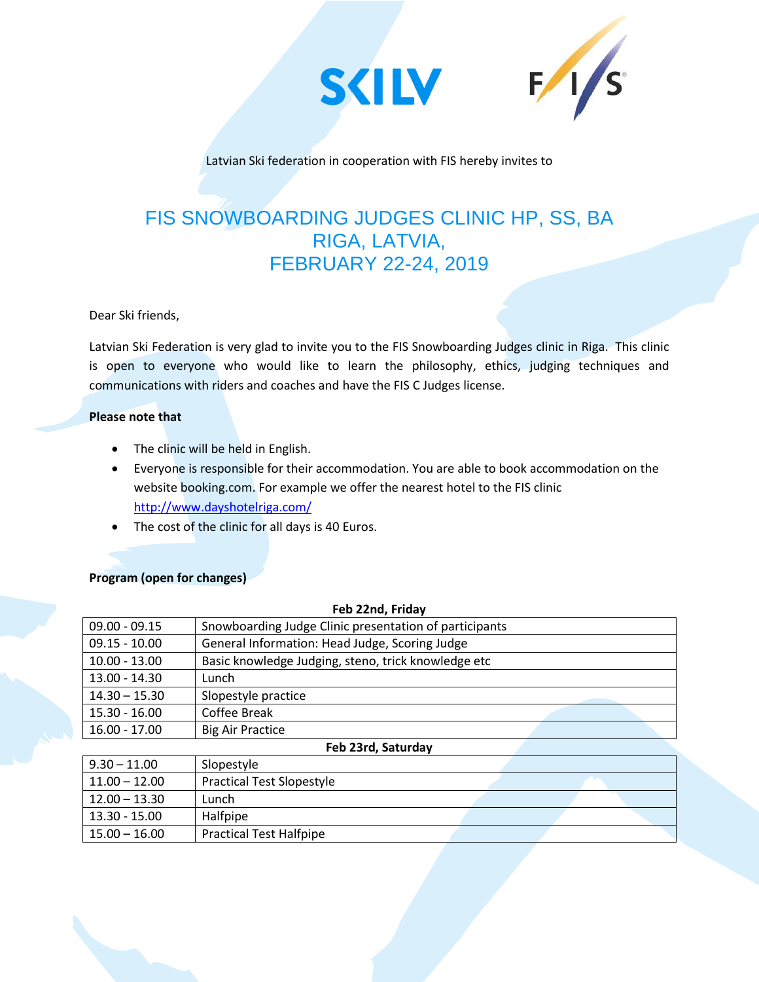



Latvian Ski federation in cooperation with FIS hereby invites to

# FIS SNOWBOARDING JUDGES CLINIC HP, SS, BA RIGA, LATVIA, FEBRUARY 22-24, 2019

Dear Ski friends,

Latvian Ski Federation is very glad to invite you to the FIS Snowboarding Judges clinic in Riga. This clinic is open to everyone who would like to learn the philosophy, ethics, judging techniques and communications with riders and coaches and have the FIS C Judges license.

#### **Please note that**

- The clinic will be held in English.
- Everyone is responsible for their accommodation. You are able to book accommodation on the website booking.com. For example we offer the nearest hotel to the FIS clinic <http://www.dayshotelriga.com/>
- The cost of the clinic for all days is 40 Euros.

## **Program (open for changes)**

| Feb 22nd, Friday   |                                                        |
|--------------------|--------------------------------------------------------|
| $09.00 - 09.15$    | Snowboarding Judge Clinic presentation of participants |
| $09.15 - 10.00$    | General Information: Head Judge, Scoring Judge         |
| $10.00 - 13.00$    | Basic knowledge Judging, steno, trick knowledge etc    |
| 13.00 - 14.30      | Lunch                                                  |
| $14.30 - 15.30$    | Slopestyle practice                                    |
| $15.30 - 16.00$    | Coffee Break                                           |
| $16.00 - 17.00$    | <b>Big Air Practice</b>                                |
| Feb 23rd, Saturday |                                                        |
| $9.30 - 11.00$     | Slopestyle                                             |
| $11.00 - 12.00$    | <b>Practical Test Slopestyle</b>                       |
| $12.00 - 13.30$    | Lunch                                                  |
| 13.30 - 15.00      | Halfpipe                                               |
| $15.00 - 16.00$    | <b>Practical Test Halfpipe</b>                         |